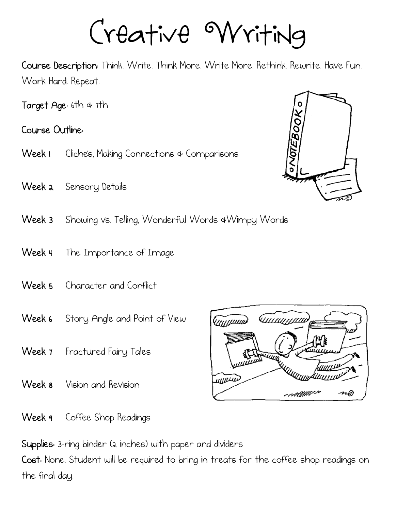Creative Writing

Course Description: Think. Write. Think More. Write More. Rethink. Rewrite. Have Fun. Work Hard. Repeat.

Target Age: 6th & 7th

Course Outline:

- Week I Cliche's, Making Connections & Comparisons
- Week a Sensory Details
- Week 3 Showing vs. Telling, Wonderful Words &Wimpy Words
- Week 4 The Importance of Image
- Week 5 Character and Conflict
- Week 6 Story Angle and Point of View
- Week 7 Fractured Fairy Tales
- Week 8 Vision and Revision



Week 9 Coffee Shop Readings

Supplies: 3-ring binder (2 inches) with paper and dividers

Cost: None. Student will be required to bring in treats for the coffee shop readings on the final day.

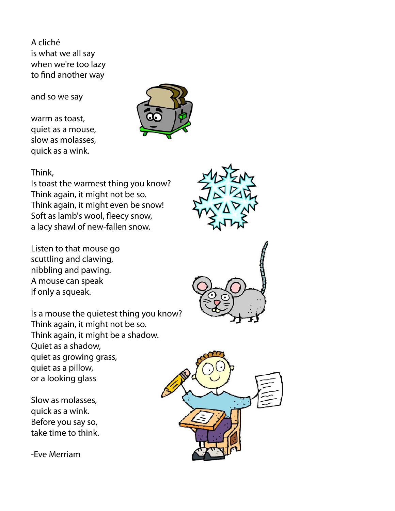A cliché is what we all say when we're too lazy to find another way

and so we say

warm as toast, quiet as a mouse, slow as molasses, quick as a wink.



#### Think,

Is toast the warmest thing you know? Think again, it might not be so. Think again, it might even be snow! Soft as lamb's wool, fleecy snow, a lacy shawl of new-fallen snow.

Listen to that mouse go scuttling and clawing, nibbling and pawing. A mouse can speak if only a squeak.

Is a mouse the quietest thing you know? Think again, it might not be so. Think again, it might be a shadow. Quiet as a shadow, quiet as growing grass, quiet as a pillow, or a looking glass

Slow as molasses, quick as a wink. Before you say so, take time to think.

-Eve Merriam





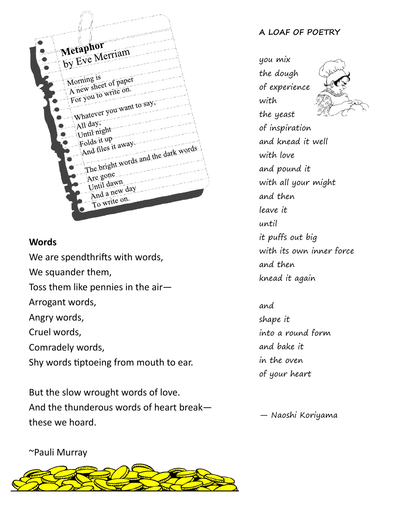

#### **Words**

We are spendthrifts with words, We squander them, Toss them like pennies in the air— Arrogant words, Angry words, Cruel words, Comradely words, Shy words tiptoeing from mouth to ear.

But the slow wrought words of love. And the thunderous words of heart break these we hoard.

#### **A LOAF OF POETRY**

you mix the dough of experience with the yeast of inspiration and knead it well with love and pound it with all your might and then leave it until it puffs out big with its own inner force and then knead it again

and shape it into a round form and bake it in the oven of your heart

— Naoshi Koriyama

~Pauli Murray

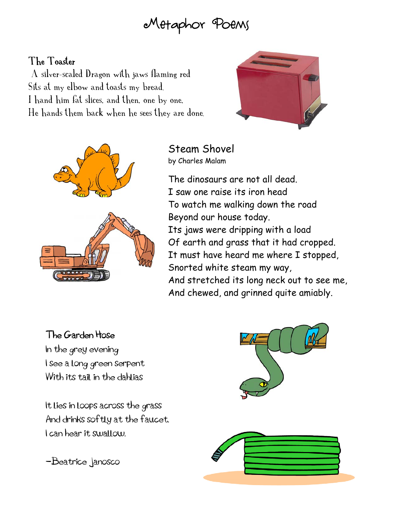# Metaphor Poems

### The Toaster

 A silver-scaled Dragon with jaws flaming red Sits at my elbow and toasts my bread. I hand him fat slices, and then, one by one, He hands them back when he sees they are done.





#### Steam Shovel by Charles Malam

The dinosaurs are not all dead. I saw one raise its iron head To watch me walking down the road Beyond our house today. Its jaws were dripping with a load Of earth and grass that it had cropped. It must have heard me where I stopped, Snorted white steam my way, And stretched its long neck out to see me, And chewed, and grinned quite amiably.

## The Garden Hose

In the grey evening I see a long green serpent With its tail in the dahlias

It lies in loops across the grass And drinks softly at the faucet. I can hear it swallow.

-Beatrice Janosco



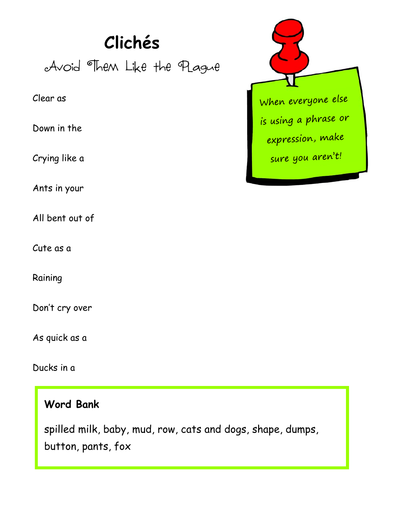# **Clichés**

Avoid Them Like the Plague

#### Clear as

Down in the

Crying like a

Ants in your

All bent out of

Cute as a

Raining

Don't cry over

As quick as a

Ducks in a

## **Word Bank**

spilled milk, baby, mud, row, cats and dogs, shape, dumps, button, pants, fox

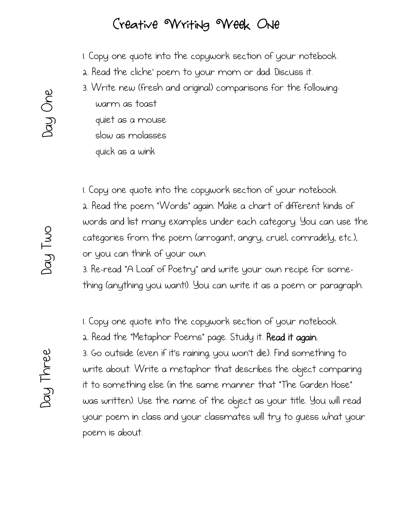# Creative Writing Week One

1. Copy one quote into the copywork section of your notebook.

- 2. Read the cliche' poem to your mom or dad. Discuss it.
- 3. Write new (fresh and original) comparisons for the following: warm as toast quiet as a mouse slow as molasses

quick as a wink

1. Copy one quote into the copywork section of your notebook.

2. Read the poem "Words" again. Make a chart of different kinds of words and list many examples under each category. You can use the categories from the poem (arrogant, angry, cruel, comradely, etc.), or you can think of your own.

3. Re-read "A Loaf of Poetry" and write your own recipe for something (anything you want!). You can write it as a poem or paragraph.

1. Copy one quote into the copywork section of your notebook.

2. Read the "Metaphor Poems" page. Study it. Read it again.

3. Go outside (even if it's raining; you won't die). Find something to write about. Write a metaphor that describes the object comparing it to something else (in the same manner that "The Garden Hose" was written). Use the name of the object as your title. You will read your poem in class and your classmates will try to guess what your poem is about.